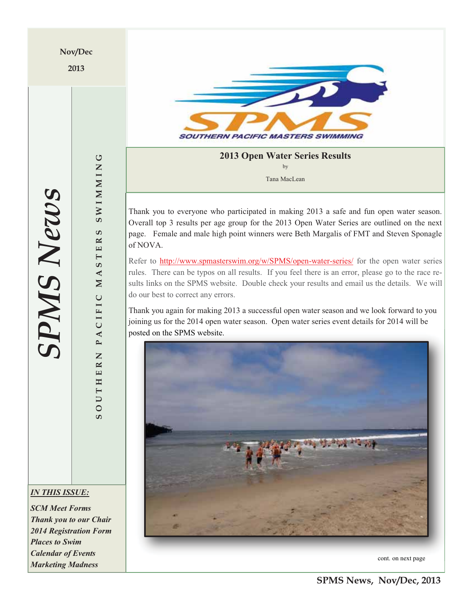**Nov/Dec** 

**2013** 



**2013 Open Water Series Results**  by Tana MacLean

Thank you to everyone who participated in making 2013 a safe and fun open water season. Overall top 3 results per age group for the 2013 Open Water Series are outlined on the next page. Female and male high point winners were Beth Margalis of FMT and Steven Sponagle of NOVA.

Refer to http://www.spmasterswim.org/w/SPMS/open-water-series/ for the open water series rules. There can be typos on all results. If you feel there is an error, please go to the race results links on the SPMS website. Double check your results and email us the details. We will do our best to correct any errors.

Thank you again for making 2013 a successful open water season and we look forward to you joining us for the 2014 open water season. Open water series event details for 2014 will be posted on the SPMS website.



cont. on next page

**SPMS News** *SPMS News*

**SOUTHERN PACIFIC MASTERS SWIMMING**

ACIFIC

 $\mathbf{P}$  $\overline{z}$  $\approx$ 

THE

 $\overline{\mathsf{C}}$  $\overline{O}$  $\overline{c}$ 

**SWIMMING** 

ဖာ  $\mathbbmss{E}$  $\Box$  $\overline{\phantom{0}}$ ဖာ  $\blacktriangleleft$  $\mathbf{N}$ 

*IN THIS ISSUE:* 

*SCM Meet Forms Thank you to our Chair 2014 Registration Form Places to Swim Calendar of Events Marketing Madness* 

**SPMS News, Nov/Dec, 2013**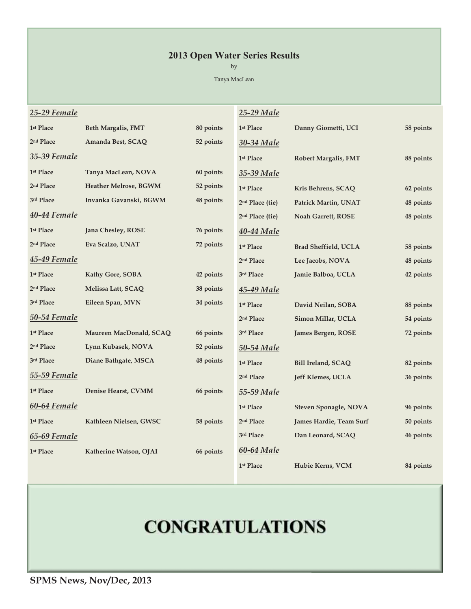## **2013 Open Water Series Results**

by

Tanya MacLean

| 25-29 Female          |                           |           | 25-29 Male                  |                              |           |
|-----------------------|---------------------------|-----------|-----------------------------|------------------------------|-----------|
| 1 <sup>st</sup> Place | <b>Beth Margalis, FMT</b> | 80 points | 1 <sup>st</sup> Place       | Danny Giometti, UCI          | 58 points |
| 2 <sup>nd</sup> Place | Amanda Best, SCAQ         | 52 points | 30-34 Male                  |                              |           |
| 35-39 Female          |                           |           | 1 <sup>st</sup> Place       | <b>Robert Margalis, FMT</b>  | 88 points |
| 1st Place             | Tanya MacLean, NOVA       | 60 points | 35-39 Male                  |                              |           |
| 2 <sup>nd</sup> Place | Heather Melrose, BGWM     | 52 points | 1 <sup>st</sup> Place       | Kris Behrens, SCAQ           | 62 points |
| 3rd Place             | Invanka Gavanski, BGWM    | 48 points | 2 <sup>nd</sup> Place (tie) | Patrick Martin, UNAT         | 48 points |
| 40-44 Female          |                           |           | 2 <sup>nd</sup> Place (tie) | Noah Garrett, ROSE           | 48 points |
| 1 <sup>st</sup> Place | Jana Chesley, ROSE        | 76 points | 40-44 Male                  |                              |           |
| 2 <sup>nd</sup> Place | Eva Scalzo, UNAT          | 72 points | 1st Place                   | <b>Brad Sheffield, UCLA</b>  | 58 points |
| <b>45-49 Female</b>   |                           |           | 2 <sup>nd</sup> Place       | Lee Jacobs, NOVA             | 48 points |
| 1st Place             | Kathy Gore, SOBA          | 42 points | 3rd Place                   | Jamie Balboa, UCLA           | 42 points |
| 2 <sup>nd</sup> Place | Melissa Latt, SCAQ        | 38 points | 45-49 Male                  |                              |           |
| 3rd Place             | Eileen Span, MVN          | 34 points | 1st Place                   | David Neilan, SOBA           | 88 points |
| 50-54 Female          |                           |           | 2 <sup>nd</sup> Place       | Simon Millar, UCLA           | 54 points |
| 1st Place             | Maureen MacDonald, SCAQ   | 66 points | 3rd Place                   | James Bergen, ROSE           | 72 points |
| 2 <sup>nd</sup> Place | Lynn Kubasek, NOVA        | 52 points | 50-54 Male                  |                              |           |
| 3rd Place             | Diane Bathgate, MSCA      | 48 points | 1st Place                   | <b>Bill Ireland, SCAQ</b>    | 82 points |
| 55-59 Female          |                           |           | 2 <sup>nd</sup> Place       | Jeff Klemes, UCLA            | 36 points |
| 1 <sup>st</sup> Place | Denise Hearst, CVMM       | 66 points | 55-59 Male                  |                              |           |
| 60-64 Female          |                           |           | 1st Place                   | <b>Steven Sponagle, NOVA</b> | 96 points |
| 1st Place             | Kathleen Nielsen, GWSC    | 58 points | 2 <sup>nd</sup> Place       | James Hardie, Team Surf      | 50 points |
| 65-69 Female          |                           |           | 3rd Place                   | Dan Leonard, SCAQ            | 46 points |
| 1st Place             | Katherine Watson, OJAI    | 66 points | 60-64 Male                  |                              |           |
|                       |                           |           | 1 <sup>st</sup> Place       | Hubie Kerns, VCM             | 84 points |

## **CONGRATULATIONS**

**SPMS News, Nov/Dec, 2013**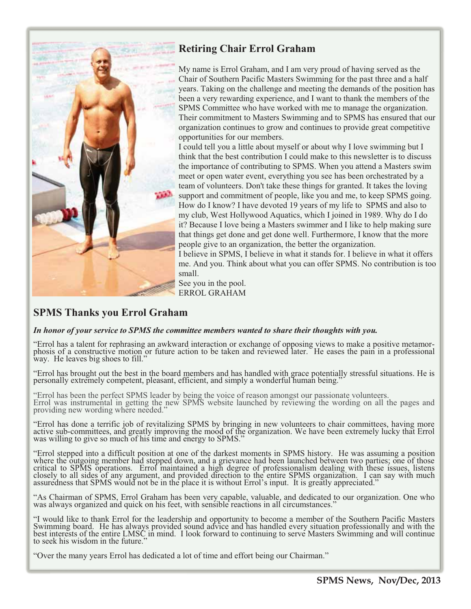

## **Retiring Chair Errol Graham**

My name is Errol Graham, and I am very proud of having served as the Chair of Southern Pacific Masters Swimming for the past three and a half years. Taking on the challenge and meeting the demands of the position has been a very rewarding experience, and I want to thank the members of the SPMS Committee who have worked with me to manage the organization. Their commitment to Masters Swimming and to SPMS has ensured that our organization continues to grow and continues to provide great competitive opportunities for our members.

I could tell you a little about myself or about why I love swimming but I think that the best contribution I could make to this newsletter is to discuss the importance of contributing to SPMS. When you attend a Masters swim meet or open water event, everything you see has been orchestrated by a team of volunteers. Don't take these things for granted. It takes the loving support and commitment of people, like you and me, to keep SPMS going. How do I know? I have devoted 19 years of my life to SPMS and also to my club, West Hollywood Aquatics, which I joined in 1989. Why do I do it? Because I love being a Masters swimmer and I like to help making sure that things get done and get done well. Furthermore, I know that the more people give to an organization, the better the organization.

I believe in SPMS, I believe in what it stands for. I believe in what it offers me. And you. Think about what you can offer SPMS. No contribution is too small.

See you in the pool. ERROL GRAHAM

## **SPMS Thanks you Errol Graham**

## *In honor of your service to SPMS the committee members wanted to share their thoughts with you.*

"Errol has a talent for rephrasing an awkward interaction or exchange of opposing views to make a positive metamorphosis of a constructive motion or future action to be taken and reviewed later. He eases the pain in a professional way. He leaves big shoes to fill."

"Errol has brought out the best in the board members and has handled with grace potentially stressful situations. He is personally extremely competent, pleasant, efficient, and simply a wonderful human being."

"Errol has been the perfect SPMS leader by being the voice of reason amongst our passionate volunteers. Errol was instrumental in getting the new SPMS website launched by reviewing the wording on all the pages and providing new wording where needed."

"Errol has done a terrific job of revitalizing SPMS by bringing in new volunteers to chair committees, having more active sub-committees, and greatly improving the mood of the organization. We have been extremely lucky tha

"Errol stepped into a difficult position at one of the darkest moments in SPMS history. He was assuming a position where the outgoing member had stepped down, and a grievance had been launched between two parties; one of t

"As Chairman of SPMS, Errol Graham has been very capable, valuable, and dedicated to our organization. One who was always organized and quick on his feet, with sensible reactions in all circumstances."

"I would like to thank Errol for the leadership and opportunity to become a member of the Southern Pacific Masters<br>Swimming board. He has always provided sound advice and has handled every situation professionally and with to seek his wisdom in the future."

"Over the many years Errol has dedicated a lot of time and effort being our Chairman."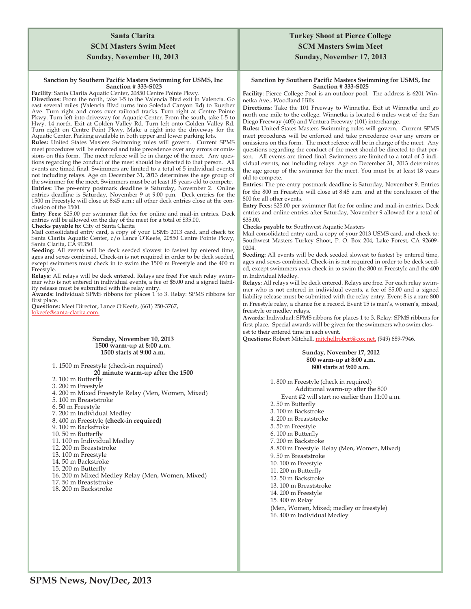## **Santa Clarita SCM Masters Swim Meet Sunday, November 10, 2013**

#### **Sanction by Southern Pacific Masters Swimming for USMS, Inc Sanction # 333-S023**

**Facility**: Santa Clarita Aquatic Center, 20850 Centre Pointe Pkwy.

**Directions:** From the north, take I-5 to the Valencia Blvd exit in Valencia. Go east several miles (Valencia Blvd turns into Soledad Canyon Rd) to Ruether Ave. Turn right and cross over railroad tracks. Turn right at Centre Pointe Pkwy. Turn left into driveway for Aquatic Center. From the south, take I-5 to Hwy. 14 north. Exit at Golden Valley Rd. Turn left onto Golden Valley Rd. Turn right on Centre Point Pkwy. Make a right into the driveway for the Aquatic Center. Parking available in both upper and lower parking lots.

**Rules:** United States Masters Swimming rules will govern. Current SPMS meet procedures will be enforced and take precedence over any errors or omissions on this form. The meet referee will be in charge of the meet. Any questions regarding the conduct of the meet should be directed to that person.All events are timed final. Swimmers are limited to a total of 5 individual events, not including relays. Age on December 31, 2013 determines the age group of the swimmer for the meet. Swimmers must be at least 18 years old to compete. **Entries:** The pre-entry postmark deadline is Saturday, November 2. Online entries deadline is Saturday, November 9 at 9:00 p.m. Deck entries for the 1500 m Freestyle will close at 8:45 a.m.; all other deck entries close at the conclusion of the 1500.

**Entry Fees:** \$25.00 per swimmer flat fee for online and mail-in entries. Deck entries will be allowed on the day of the meet for a total of \$35.00.

**Checks payable to**: City of Santa Clarita

Mail consolidated entry card, a copy of your USMS 2013 card, and check to: Santa Clarita Aquatic Center, c/o Lance O'Keefe, 20850 Centre Pointe Pkwy, Santa Clarita, CA 91350.

**Seeding:** All events will be deck seeded slowest to fastest by entered time, ages and sexes combined. Check-in is not required in order to be deck seeded, except swimmers must check in to swim the 1500 m Freestyle and the 400 m Freestyle.

**Relays:** All relays will be deck entered. Relays are free! For each relay swimmer who is not entered in individual events, a fee of \$5.00 and a signed liability release must be submitted with the relay entry.

**Awards:** Individual: SPMS ribbons for places 1 to 3. Relay: SPMS ribbons for first place.

**Questions:** Meet Director, Lance O'Keefe, (661) 250-3767, lokeefe@santa-clarita.com.

#### **Sunday, November 10, 2013 1500 warm-up at 8:00 a.m. 1500 starts at 9:00 a.m.**

1. 1500 m Freestyle (check-in required) **20 minute warm-up after the 1500** 

- 2. 100 m Butterfly
- 3. 200 m Freestyle
- 4. 200 m Mixed Freestyle Relay (Men, Women, Mixed)
- 5. 100 m Breaststroke
- 6. 50 m Freestyle
- 7. 200 m Individual Medley
- 8. 400 m Freestyle **(check-in required)**
- 9. 100 m Backstroke
- 10. 50 m Butterfly
- 11. 100 m Individual Medley
- 12. 200 m Breaststroke
- 13. 100 m Freestyle
- 14. 50 m Backstroke
- 15. 200 m Butterfly
- 16. 200 m Mixed Medley Relay (Men, Women, Mixed)
- 17. 50 m Breaststroke
- 18. 200 m Backstroke

## **Turkey Shoot at Pierce College SCM Masters Swim Meet Sunday, November 17, 2013**

#### **Sanction by Southern Pacific Masters Swimming for USMS, Inc Sanction # 333-S025**

**Facility**: Pierce College Pool is an outdoor pool. The address is 6201 Winnetka Ave., Woodland Hills.

**Directions:** Take the 101 Freeway to Winnetka. Exit at Winnetka and go north one mile to the college. Winnetka is located 6 miles west of the San Diego Freeway (405) and Ventura Freeway (101) interchange.

**Rules:** United States Masters Swimming rules will govern. Current SPMS meet procedures will be enforced and take precedence over any errors or omissions on this form. The meet referee will be in charge of the meet. Any questions regarding the conduct of the meet should be directed to that person. All events are timed final. Swimmers are limited to a total of 5 individual events, not including relays. Age on December 31, 2013 determines the age group of the swimmer for the meet. You must be at least 18 years old to compete.

**Entries:** The pre-entry postmark deadline is Saturday, November 9. Entries for the 800 m Freestyle will close at 8:45 a.m. and at the conclusion of the 800 for all other events.

**Entry Fees:** \$25.00 per swimmer flat fee for online and mail-in entries. Deck entries and online entries after Saturday, November 9 allowed for a total of \$35.00.

**Checks payable to**: Southwest Aquatic Masters

Mail consolidated entry card, a copy of your 2013 USMS card, and check to: Southwest Masters Turkey Shoot, P. O. Box 204, Lake Forest, CA 92609- 0204.

**Seeding:** All events will be deck seeded slowest to fastest by entered time, ages and sexes combined. Check-in is not required in order to be deck seeded, except swimmers *must* check in to swim the 800 m Freestyle and the 400 m Individual Medley.

**Relays:** All relays will be deck entered. Relays are free. For each relay swimmer who is not entered in individual events, a fee of \$5.00 and a signed liability release must be submitted with the relay entry. Event 8 is a rare 800 m Freestyle relay, a chance for a record. Event 15 is men's, women's, mixed, freestyle or medley relays.

**Awards:** Individual: SPMS ribbons for places 1 to 3. Relay: SPMS ribbons for first place. Special awards will be given for the swimmers who swim closest to their entered time in each event.

**Questions:** Robert Mitchell, mitchellrobert@cox.net, (949) 689-7946.

#### **Sunday, November 17, 2012 800 warm-up at 8:00 a.m. 800 starts at 9:00 a.m.**

1. 800 m Freestyle (check in required) Additional warm-up after the 800 Event #2 will start no earlier than 11:00 a.m. 2. 50 m Butterfly 3. 100 m Backstroke 4. 200 m Breaststroke 5. 50 m Freestyle 6. 100 m Butterfly 7. 200 m Backstroke 8. 800 m Freestyle Relay (Men, Women, Mixed) 9. 50 m Breaststroke 10. 100 m Freestyle 11. 200 m Butterfly 12. 50 m Backstroke 13. 100 m Breaststroke 14. 200 m Freestyle 15. 400 m Relay (Men, Women, Mixed; medley or freestyle) 16. 400 m Individual Medley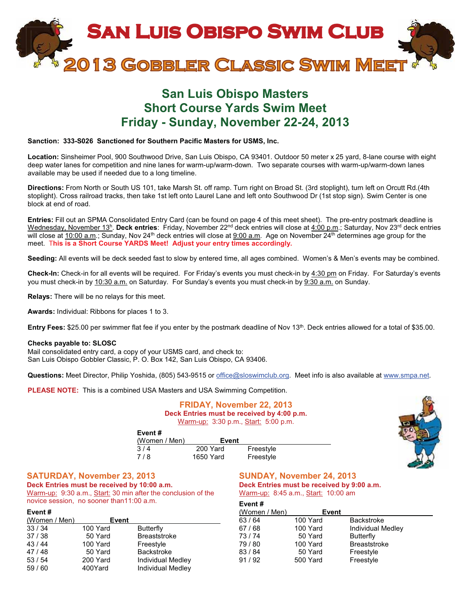

## **San Luis Obispo Masters Short Course Yards Swim Meet Friday - Sunday, November 22-24, 2013**

#### **Sanction: 333-S026 Sanctioned for Southern Pacific Masters for USMS, Inc.**

**Location:** Sinsheimer Pool, 900 Southwood Drive, San Luis Obispo, CA 93401. Outdoor 50 meter x 25 yard, 8-lane course with eight deep water lanes for competition and nine lanes for warm-up/warm-down. Two separate courses with warm-up/warm-down lanes available may be used if needed due to a long timeline.

**Directions:** From North or South US 101, take Marsh St. off ramp. Turn right on Broad St. (3rd stoplight), turn left on Orcutt Rd.(4th stoplight). Cross railroad tracks, then take 1st left onto Laurel Lane and left onto Southwood Dr (1st stop sign). Swim Center is one block at end of road.

**Entries:** Fill out an SPMA Consolidated Entry Card (can be found on page 4 of this meet sheet). The pre-entry postmark deadline is Wednesday, November 13h. **Deck entries**: Friday, November 22nd deck entries will close at 4:00 p.m.; Saturday, Nov 23rd deck entries will close at  $10:00$  a.m.; Sunday, Nov 24<sup>th</sup> deck entries will close at  $9:00$  a.m. Age on November 24<sup>th</sup> determines age group for the meet. T**his is a Short Course YARDS Meet! Adjust your entry times accordingly.**

**Seeding:** All events will be deck seeded fast to slow by entered time, all ages combined. Women's & Men's events may be combined.

**Check-In:** Check-in for all events will be required. For Friday's events you must check-in by 4:30 pm on Friday. For Saturday's events you must check-in by 10:30 a.m. on Saturday. For Sunday's events you must check-in by 9:30 a.m. on Sunday.

**Relays:** There will be no relays for this meet.

**Awards:** Individual: Ribbons for places 1 to 3.

**Entry Fees:** \$25.00 per swimmer flat fee if you enter by the postmark deadline of Nov 13<sup>th</sup>. Deck entries allowed for a total of \$35.00.

#### **Checks payable to: SLOSC**

Mail consolidated entry card, a copy of your USMS card, and check to: San Luis Obispo Gobbler Classic, P. O. Box 142, San Luis Obispo, CA 93406.

**Questions:** Meet Director, Philip Yoshida, (805) 543-9515 or office@sloswimclub.org. Meet info is also available at www.smpa.net.

**PLEASE NOTE:** This is a combined USA Masters and USA Swimming Competition.

#### **FRIDAY, November 22, 2013 Deck Entries must be received by 4:00 p.m.** Warm-up: 3:30 p.m., Start: 5:00 p.m.



| Event#        |           |           |
|---------------|-----------|-----------|
| (Women / Men) | Event     |           |
| 3/4           | 200 Yard  | Freestyle |
| 7/8           | 1650 Yard | Freestyle |

#### **SATURDAY, November 23, 2013**

**Deck Entries must be received by 10:00 a.m.** Warm-up: 9:30 a.m., Start: 30 min after the conclusion of the novice session, no sooner than11:00 a.m.

#### **Event #**

| (Women / Men) | Event    |                          |
|---------------|----------|--------------------------|
| 33/34         | 100 Yard | <b>Butterfly</b>         |
| 37/38         | 50 Yard  | <b>Breaststroke</b>      |
| 43/44         | 100 Yard | Freestyle                |
| 47/48         | 50 Yard  | <b>Backstroke</b>        |
| 53/54         | 200 Yard | <b>Individual Medley</b> |
| 59/60         | 400Yard  | <b>Individual Medley</b> |

#### **SUNDAY, November 24, 2013 Deck Entries must be received by 9:00 a.m.** Warm-up: 8:45 a.m., Start: 10:00 am

**Event #** (Women / Men) **Event**<br>63 / 64 100 Yard 63 / 64 100 Yard Backstroke<br>67 / 68 100 Yard Individual N 67 / 68 100 Yard Individual Medley<br>13 / 74 50 Yard Butterfly **Butterfly** 79 / 80 100 Yard Breaststroke 83 / 84 50 Yard Freestyle 91 / 92 500 Yard Freestyle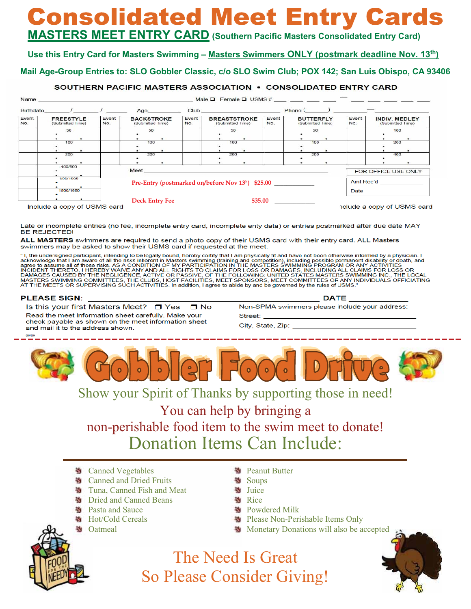# **Consolidated Meet Entry Cards**

## **MASTERS MEET ENTRY CARD (Southern Pacific Masters Consolidated Entry Card)**

## **Use this Entry Card for Masters Swimming – Masters Swimmers ONLY (postmark deadline Nov. 13th)**

## **Mail Age-Group Entries to: SLO Gobbler Classic, c/o SLO Swim Club; POX 142; San Luis Obispo, CA 93406**

## SOUTHERN PACIFIC MASTERS ASSOCIATION . CONSOLIDATED ENTRY CARD

| Birthdate    | $\frac{1}{2}$                        |              | Age                                   |              | Club and the contract of the contract of the contract of the contract of the contract of the contract of the contract of the contract of the contract of the contract of the contract of the contract of the contract of the c |              | Phone (                              |              |                                                                                                                                                                                                                                |
|--------------|--------------------------------------|--------------|---------------------------------------|--------------|--------------------------------------------------------------------------------------------------------------------------------------------------------------------------------------------------------------------------------|--------------|--------------------------------------|--------------|--------------------------------------------------------------------------------------------------------------------------------------------------------------------------------------------------------------------------------|
| Event<br>No. | <b>FREESTYLE</b><br>(Submitted Time) | Event<br>No. | <b>BACKSTROKE</b><br>(Submitted Time) | Event<br>No. | <b>BREASTSTROKE</b><br>(Submitted Time)                                                                                                                                                                                        | Event<br>No. | <b>BUTTERFLY</b><br>(Submitted Time) | Event<br>No. | <b>INDIV. MEDLEY</b><br>(Submitted Time)                                                                                                                                                                                       |
|              | 50<br>$\bullet$                      |              | 50                                    |              | 50                                                                                                                                                                                                                             |              | 50                                   |              | 100<br>$\bullet$                                                                                                                                                                                                               |
|              | 100                                  |              | 100                                   |              | 100                                                                                                                                                                                                                            |              | 100                                  |              | 200                                                                                                                                                                                                                            |
|              | 200                                  |              | 200                                   |              | 200                                                                                                                                                                                                                            |              | 200                                  |              | 400                                                                                                                                                                                                                            |
|              | 400/500                              |              | Meet                                  |              |                                                                                                                                                                                                                                |              |                                      |              | FOR OFFICE USE ONLY                                                                                                                                                                                                            |
|              | 000/1000                             |              |                                       |              | Pre-Entry (postmarked on/before Nov 13h) \$25.00                                                                                                                                                                               |              |                                      |              | Amt Rec'd                                                                                                                                                                                                                      |
|              | 1500/1650                            |              |                                       |              |                                                                                                                                                                                                                                |              |                                      |              | Date and the state of the state of the state of the state of the state of the state of the state of the state of the state of the state of the state of the state of the state of the state of the state of the state of the s |
|              | ٠<br>Include a copy of USMS card     |              | <b>Deck Entry Fee</b>                 |              | \$35.00                                                                                                                                                                                                                        |              |                                      |              | nclude a copy of USMS card                                                                                                                                                                                                     |

Late or incomplete entries (no fee, incomplete entry card, incomplete enty data) or entries postmarked after due date MAY **BE REJECTED!** 

ALL MASTERS swimmers are required to send a photo-copy of their USMS card with their entry card. ALL Masters swimmers may be asked to show their USMS card if requested at the meet.

"I, the undersigned participant, intending to be legally bound, hereby certify that I am physically fit and have not been otherwise informed by a physician. I r, ne undersigned participant, internaling to be legality bound, netero year in private in a new notion and a market and the risks inherent in Masters swimming (training and competition), including possible permanent disab AT THE MEETS OR SUPERVISING SUCH ACTIVITIES. In addition, I agree to abide by and be governed by the rules of USMS.

#### **PLEASE SIGN:**

Is this your first Masters Meet? □ Yes  $\Box$  No Read the meet information sheet carefully. Make your check payable as shown on the meet information sheet and mail it to the address shown.

**DATE** Non-SPMA swimmers please include your address: Street:

City, State, Zip:



## Show your Spirit of Thanks by supporting those in need!

You can help by bringing a non-perishable food item to the swim meet to donate! Donation Items Can Include:

- **M** Canned Vegetables
- **M** Canned and Dried Fruits
- Tuna, Canned Fish and Meat S.
- ×. Dried and Canned Beans
- ×. Pasta and Sauce
- ×. Hot/Cold Cereals
- S. Oatmeal
- **N** Peanut Butter
- Soups
- **N** Juice
- **N** Rice
- **Nowdered Milk**
- Please Non-Perishable Items Only
- Monetary Donations will also be accepted



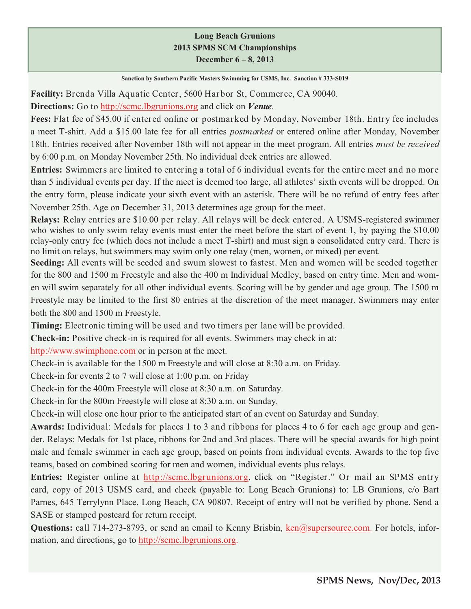## **Long Beach Grunions 2013 SPMS SCM Championships December 6 – 8, 2013**

**Sanction by Southern Pacific Masters Swimming for USMS, Inc. Sanction # 333-S019**

**Facility:** Brenda Villa Aquatic Center, 5600 Harbor St, Commerce, CA 90040.

**Directions:** Go to http://scmc.lbgrunions.org and click on *Venue*.

**Fees:** Flat fee of \$45.00 if entered online or postmarked by Monday, November 18th. Entry fee includes a meet T-shirt. Add a \$15.00 late fee for all entries *postmarked* or entered online after Monday, November 18th. Entries received after November 18th will not appear in the meet program. All entries *must be received*  by 6:00 p.m. on Monday November 25th. No individual deck entries are allowed.

**Entries:** Swimmers are limited to entering a total of 6 individual events for the entire meet and no more than 5 individual events per day. If the meet is deemed too large, all athletes' sixth events will be dropped. On the entry form, please indicate your sixth event with an asterisk. There will be no refund of entry fees after November 25th. Age on December 31, 2013 determines age group for the meet.

**Relays:** Relay entries are \$10.00 per relay. All relays will be deck entered. A USMS-registered swimmer who wishes to only swim relay events must enter the meet before the start of event 1, by paying the \$10.00 relay-only entry fee (which does not include a meet T-shirt) and must sign a consolidated entry card. There is no limit on relays, but swimmers may swim only one relay (men, women, or mixed) per event.

**Seeding:** All events will be seeded and swum slowest to fastest. Men and women will be seeded together for the 800 and 1500 m Freestyle and also the 400 m Individual Medley, based on entry time. Men and women will swim separately for all other individual events. Scoring will be by gender and age group. The 1500 m Freestyle may be limited to the first 80 entries at the discretion of the meet manager. Swimmers may enter both the 800 and 1500 m Freestyle.

**Timing:** Electronic timing will be used and two timers per lane will be provided.

**Check-in:** Positive check-in is required for all events. Swimmers may check in at:

http://www.swimphone.com or in person at the meet.

Check-in is available for the 1500 m Freestyle and will close at 8:30 a.m. on Friday.

Check-in for events 2 to 7 will close at 1:00 p.m. on Friday

Check-in for the 400m Freestyle will close at 8:30 a.m. on Saturday.

Check-in for the 800m Freestyle will close at 8:30 a.m. on Sunday.

Check-in will close one hour prior to the anticipated start of an event on Saturday and Sunday.

**Awards:** Individual: Medals for places 1 to 3 and ribbons for places 4 to 6 for each age group and gender. Relays: Medals for 1st place, ribbons for 2nd and 3rd places. There will be special awards for high point male and female swimmer in each age group, based on points from individual events. Awards to the top five teams, based on combined scoring for men and women, individual events plus relays.

**Entries:** Register online at http://scmc.lbgrunions.org, click on "Register." Or mail an SPMS entry card, copy of 2013 USMS card, and check (payable to: Long Beach Grunions) to: LB Grunions, c/o Bart Parnes, 645 Terrylynn Place, Long Beach, CA 90807. Receipt of entry will not be verified by phone. Send a SASE or stamped postcard for return receipt.

**Questions:** call 714-273-8793, or send an email to Kenny Brisbin, ken@supersource.com. For hotels, information, and directions, go to http://scmc.lbgrunions.org.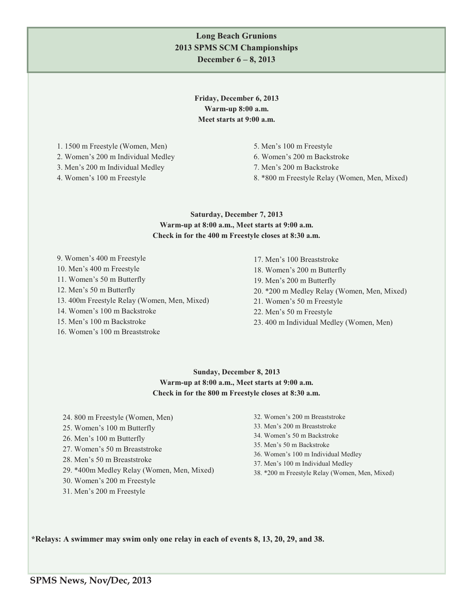## **Long Beach Grunions 2013 SPMS SCM Championships December 6 – 8, 2013**

**Friday, December 6, 2013 Warm-up 8:00 a.m. Meet starts at 9:00 a.m.** 

1. 1500 m Freestyle (Women, Men)

2. Women's 200 m Individual Medley

3. Men's 200 m Individual Medley

4. Women's 100 m Freestyle

5. Men's 100 m Freestyle 6. Women's 200 m Backstroke 7. Men's 200 m Backstroke 8. \*800 m Freestyle Relay (Women, Men, Mixed)

## **Saturday, December 7, 2013 Warm-up at 8:00 a.m., Meet starts at 9:00 a.m. Check in for the 400 m Freestyle closes at 8:30 a.m.**

- 9. Women's 400 m Freestyle
- 10. Men's 400 m Freestyle
- 11. Women's 50 m Butterfly
- 12. Men's 50 m Butterfly
- 13. 400m Freestyle Relay (Women, Men, Mixed)
- 14. Women's 100 m Backstroke
- 15. Men's 100 m Backstroke
- 16. Women's 100 m Breaststroke

17. Men's 100 Breaststroke 18. Women's 200 m Butterfly 19. Men's 200 m Butterfly 20. \*200 m Medley Relay (Women, Men, Mixed) 21. Women's 50 m Freestyle 22. Men's 50 m Freestyle 23. 400 m Individual Medley (Women, Men)

## **Sunday, December 8, 2013 Warm-up at 8:00 a.m., Meet starts at 9:00 a.m. Check in for the 800 m Freestyle closes at 8:30 a.m.**

- 24. 800 m Freestyle (Women, Men)
- 25. Women's 100 m Butterfly
- 26. Men's 100 m Butterfly
- 27. Women's 50 m Breaststroke
- 28. Men's 50 m Breaststroke
- 29. \*400m Medley Relay (Women, Men, Mixed)
- 30. Women's 200 m Freestyle
- 31. Men's 200 m Freestyle
- 32. Women's 200 m Breaststroke
- 33. Men's 200 m Breaststroke
- 34. Women's 50 m Backstroke
- 35. Men's 50 m Backstroke
- 36. Women's 100 m Individual Medley
- 37. Men's 100 m Individual Medley
- 38. \*200 m Freestyle Relay (Women, Men, Mixed)

**\*Relays: A swimmer may swim only one relay in each of events 8, 13, 20, 29, and 38.**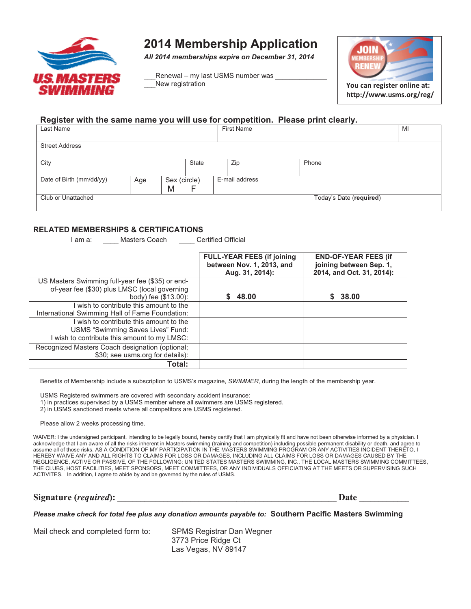

## **2014 Membership Application**

*All 2014 memberships expire on December 31, 2014* 

Renewal – my last USMS number was New registration



**http://www.usms.org/reg/**

## **Register with the same name you will use for competition. Please print clearly.**

| Last Name                |     |                   |              |  | <b>First Name</b> |                         | MI |
|--------------------------|-----|-------------------|--------------|--|-------------------|-------------------------|----|
| <b>Street Address</b>    |     |                   |              |  |                   |                         |    |
| City                     |     |                   | <b>State</b> |  | Zip               | Phone                   |    |
| Date of Birth (mm/dd/yy) | Age | Sex (circle)<br>M |              |  | E-mail address    |                         |    |
| Club or Unattached       |     |                   |              |  |                   | Today's Date (required) |    |

#### **RELATED MEMBERSHIPS & CERTIFICATIONS**

I am a: \_\_\_\_\_ Masters Coach \_\_\_\_\_ Certified Official

|                                                  | <b>FULL-YEAR FEES (if joining</b><br>between Nov. 1, 2013, and<br>Aug. 31, 2014): | <b>END-OF-YEAR FEES (if</b><br>joining between Sep. 1,<br>2014, and Oct. 31, 2014): |
|--------------------------------------------------|-----------------------------------------------------------------------------------|-------------------------------------------------------------------------------------|
| US Masters Swimming full-year fee (\$35) or end- |                                                                                   |                                                                                     |
| of-year fee (\$30) plus LMSC (local governing    |                                                                                   |                                                                                     |
| body) fee (\$13.00):                             | 48.00                                                                             | 38.00                                                                               |
| wish to contribute this amount to the            |                                                                                   |                                                                                     |
| International Swimming Hall of Fame Foundation:  |                                                                                   |                                                                                     |
| wish to contribute this amount to the            |                                                                                   |                                                                                     |
| USMS "Swimming Saves Lives" Fund:                |                                                                                   |                                                                                     |
| wish to contribute this amount to my LMSC:       |                                                                                   |                                                                                     |
| Recognized Masters Coach designation (optional;  |                                                                                   |                                                                                     |
| \$30; see usms.org for details):                 |                                                                                   |                                                                                     |
| Total:                                           |                                                                                   |                                                                                     |

Benefits of Membership include a subscription to USMS's magazine, *SWIMMER*, during the length of the membership year.

USMS Registered swimmers are covered with secondary accident insurance:

1) in practices supervised by a USMS member where all swimmers are USMS registered.

2) in USMS sanctioned meets where all competitors are USMS registered.

Please allow 2 weeks processing time.

WAIVER: I the undersigned participant, intending to be legally bound, hereby certify that I am physically fit and have not been otherwise informed by a physician. I acknowledge that I am aware of all the risks inherent in Masters swimming (training and competition) including possible permanent disability or death, and agree to assume all of those risks. AS A CONDITION OF MY PARTICIPATION IN THE MASTERS SWIMMING PROGRAM OR ANY ACTIVITIES INCIDENT THERETO, I HEREBY WAIVE ANY AND ALL RIGHTS TO CLAIMS FOR LOSS OR DAMAGES, INCLUDING ALL CLAIMS FOR LOSS OR DAMAGES CAUSED BY THE NEGLIGENCE, ACTIVE OR PASSIVE, OF THE FOLLOWING: UNITED STATES MASTERS SWIMMING, INC., THE LOCAL MASTERS SWIMMING COMMITTEES, THE CLUBS, HOST FACILITIES, MEET SPONSORS, MEET COMMITTEES, OR ANY INDIVIDUALS OFFICIATING AT THE MEETS OR SUPERVISING SUCH ACTIVITES. In addition, I agree to abide by and be governed by the rules of USMS.

**Signature (***required***):** \_\_\_\_\_\_\_\_\_\_\_\_\_\_\_\_\_\_\_\_\_\_\_\_\_\_\_\_\_\_\_\_\_\_\_\_\_\_\_\_\_\_\_\_\_\_\_\_\_\_\_\_\_\_\_\_\_ **Date** \_\_\_\_\_\_\_\_\_\_\_\_\_

*Please make check for total fee plus any donation amounts payable to:* **Southern Pacific Masters Swimming** 

Mail check and completed form to: SPMS Registrar Dan Wegner

 3773 Price Ridge Ct Las Vegas, NV 89147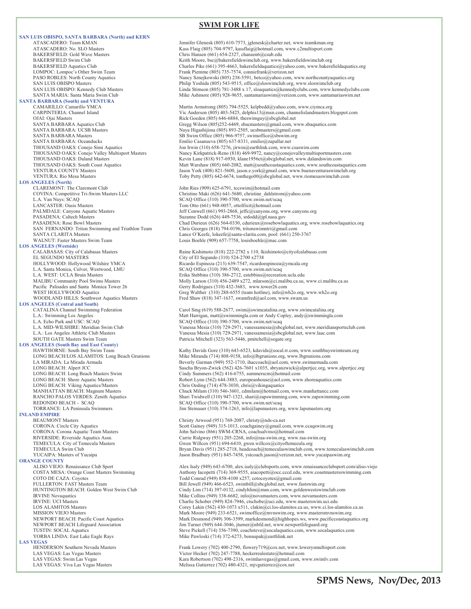#### **SWIM FOR LIFE**

**SAN LUIS OBISPO, SANTA BARBARA (North) and KERN**  ATASCADERO: Team KMAN Jennifer Glenesk (805) 610-7573, jglenesk@charter.net, www.teamkman.org<br>ATASCADERO: No. SLO Masters States (805) 704-9797, kassflaig@hotmail.com, www.c2multisport.com ATASCADERO: No. SLO Masters (AU) 2008 (ASS Flaig (805) 704-9797, kassflaig@hotmail.com, www.c2multisport.com<br>RAKERSFIELD: Gold Wave Masters (AU) 2008 (Anis Hansen (661) 654-2327. chansen6@esub.edu BAKERSFIELD: Gold Wave Masters Chris Hansen (661) 654-2327, chansen 6@csub.edu<br>BAKERSFIELD Swim Club Chris Hansen (661) 654-2327, chansen 6@csub.edu LOMPOC: Lompoc's Other Swim Team Frank Piemme (805) 735-7574, conniefrank@verizon.net **SANTA BARBARA (South) and VENTURA**  SANTA BARBARA: Oceanducks Emilio Casanueva (805) 637-8331, emilio@zapallar.net **LOS ANGELES (North)** CLAREMONT: The Claremont Club John Ries (909) 625-6791, tccswim@hotmail.com<br>COVINA: Competitive Tri-Swim Masters LLC Claremont Christine Maki (626) 641-5680, christine\_dahlstro L.A. Van Nuys: SCAQ SCAQ Office (310) 390-5700, www.swim.net/scaq LANCASTER: Oasis Masters Tom Otto (661) 948-0057, ottolfixit@hotmail.com<br>
PALMDALE: Canyons Aquatic Masters Jeff Conwell (661) 993-2868, jeffc@canyons.org, v PASADENA: Caltech Masters Suzanne Dodd (626) 449-7536, srdodd@jpl.nasa.gov<br>PASADENA: Rose Bowl Masters Suzanne Chad Durieux (626) 564-0330, cdurieux@rosebowlac WALNUT: Faster Masters Swim Team Louis Boehle (909) 657-7758, louisboehle@mac.com **LOS ANGELES (Westside)** EL SEGUNDO MÁSTERS City of El Segundo (310) 524-2700 x2738<br>HOLLYWOOD: Hollywood Wilshire YMCA Ricardo Espinoza (213) 639-7547, ricardo Pacific Palisades and Santa Monica Tower 26 Gerry Rodrigues (310) 432-3683, www.tower26.com<br>WEST HOLLYWOOD Aquatics Greg Walther (310) 288-6555 (team hotline), info@w **LOS ANGELES (Central and South) LOS ANGELES (South Bay and East County)**  LONG BEACH: Viking Aquatics/Masters Chris Oeding (714) 478-3030, chris@vikingaquatics REDONDO BEACH - SCAQ<br>
TORRANCE: LA Peninsula Swimmers<br>
TORRANCE: LA Peninsula Swimmers<br>
SCAQ Office (310) 374-1263, info@lapsmasters.org **INLAND EMPIRE**  BEAUMONT Masters Christy Arwood (951) 769-2087, christy@nds-ca.net<br>CORONA: Circle City Aquatics CORONA: Scott Gainey (949) 315-1013, coachgainey@gmail.cc **ORANGE COUNTY**<br>ALISO VIEJO: Renaissance Club Sport **LAS VEGAS**<br> **HENDERSON Southern Nevada Masters** 

BAKERSFIELD Swim Club Keith Moore, bsc@bakersfieldswimclub.org, www.bakersfieldswimclub.org<br>BAKERSFIELD Aquatics Club Charles Pike (661) 395-4663, bakersfieldaquatics@yahoo.com, www.bakersf Charles Pike (661) 395-4663, bakersfieldaquatics@yahoo.com, www.bakersfieldaquatics.org PASO ROBLES: North County Aquatics Nancy Sznejkowski (805) 238-5591, betco@yahoo.com, www.northcountyaquatics.org<br>Philip Yoshida (805) 543-9515, office@sloswimclub.org, www.sloswimclub.org SAN LUIS OBISPO Masters<br>
SAN LUIS OBISPO: Kennedy Club Masters<br>
Linda Stimson (805) 781-3488 x 17, sloaquatics@kennedyclubs.com, www.kenn SAN LUIS OBISPO: Kennedy Club Masters Linda Stimson (805) 781-3488 x 17, sloaquatics@kennedyclubs.com, www.kennedyclubs.com<br>SANTA MARIA: Santa Maria Swim Club Misson Club Mike Ashmore (805) 928-9655, santamariaswim@verizon Mike Ashmore (805) 928-9655, santamariaswim@verizon.com, www.santamariaswim.net CAMARILLO: Camarillo YMCA<br>CARPINTERIA: Channel Island The Martin Armstrong (805) 794-5525, kelpbedd@yahoo.com, www.ciymca.org<br>Vic Anderson (805) 403-5425, delphis 13@msn.com, channelislandmasters.b CARPINTERIA: Channel Island Vic Anderson (805) 403-5425, delphis13@msn.com, channelislandmasters.blogspot.com<br>CJAI: Ojai Masters Claudia Channelislandmasters.blogspot.com<br>Rick Goeden (805) 646-6884, theswimguy@sbcglobal.ne OJAI: Ojai Masters Rick Goeden (805) 646-6884, theswimguy@sbcglobal.net SANTA BARBARA Aquatics Club Gregg Wilson (805)252-6469, sbacmasters@gmail.com, www.sbaquatics.com SANTA BARBARA: UCSB Masters Naya Higashijima (805) 893-2505, ucsbmasters@gmail.com<br>SANTA BARBARA Masters National SB Swim Office (805) 966-9757, swimoffice@sbswim.org SANTA BARBARA Masters SB Swim Office (805) 966-9757, swimoffice@sbswim.org<br>SANTA BARBARA: Oceanducks Service SANTA BARBARA: Oceanducks Emilio Casanucva (805) 637-8331, emilio@zapallar.net Jon Irwin (310) 658-7276, jirwin@earthlink.com, www.csaswim.com THOUSAND OAKS: Conejo Valley Multisport Masters Nancy Kirkpatrick-Reno (818) 469-9972, nancy@conejovalleymultisportmasters.com<br>THOUSAND OAKS: Daland Masters National Review Lane (818) 917-6930. klane1956ct@sbcglobal.net. w THOUSAND OAKS: Daland Masters Kevin Lane (818) 917-6930, klane1956ct@sbcglobal.net, www.dalandswim.com<br>THOUSAND OAKS: South Coast Aquatics Kevin Lane (818) 917-6930, klane1956ct@sbcglobal.net, www.southcoasta THOUSAND OAKS: South Coast Aquatics Matt Warshaw (805) 660-2082, matt@southcoastaquatics.com, www.southcoastaquatics.com<br>Matt Warshaw (805) 660-2082, matt@southcoastaquatics.com, www.buenaventuraswimclub.org<br>Matt Warshaw ( VENTURA COUNTY Masters Jason York (408) 821-5600, jason.e.york@gmail.com, www.buenaventuraswimclub.org<br>VENTURA: Rio Mesa Masters Toby Petty (805) 642-6674, tonthego00@sbcglobal.net, www.riomesaswimclub.com Toby Petty (805) 642-6674, tonthego00@sbcglobal.net, www.riomesaswimclub.com Christine Maki (626) 641-5680, christine\_dahlstrom@yahoo.com PALMDALE: Canyons Aquatic Masters Jeff Conwell (661) 993-2868, jeffc@canyons.org, www.canyons.org<br>PASADENA: Caltech Masters Suzame Dodd (626) 449-7536, srdodd@jpl.nasa.gov PASADENA: Rose Bowl Masters Chad Durieux (626) 564-0330, cdurieux@rosebowlaquatics.org, www.rosebowlaquatics.org<br>Chris Georges (818) 794-0196, tritonswimntri@gmail.com Chris Georges (818) 794-0196, tritonswimntri@gmail.com SANTA CLARITA Masters Lance O'Keefe, lokeefe@santa-clarita.com, pool: (661) 250-3767 CALABASAS: City of Calabasas Masters Raine Kishimoto (818) 222-2782 x 110, lkishimoto@cityofcalabasas.com<br>EL SEGUNDO MASTERS City of El Segundo (310) 524-2700 x2738 HOLLYWOOD: Hollywood Wilshire YMCA Ricardo Espinoza (213) 639-7547, ricardoespinoza@ymcala.org<br>
L.A. Santa Monica, Culver, Westwood, LMU SCAQ Office (310) 390-5700, www.swim.net/scaq L.A. Santa Monica, Culver, Westwood, LMU SCAQ Office (310) 390-5700, www.swim.net/scaq<br>L.A. WEST: UCLA Bruin Masters Erika Stebbins (310) 386-2712, estebbins@recreation.ucla.edu MALIBU Community Pool Swims Masters Molly Larson (310) 456-2489 x272, mlarson@ci.malibu.ca.us, www.ci.malibu.ca.us<br>Pacific Palisades and Santa Monica Tower 26 Gerry Rodrigues (310) 432-3683, www.tower26.com WEST HOLLYWOOD Aquatics<br>WOODLAND HILLS: Southwest Aquatics Masters<br>Fred Shaw (818) 347-1637, swamfred@aol.com, www.swam.us Fred Shaw (818) 347-1637, swamfred@aol.com, www.swam.us CATALINA Channel Swimming Federation Carol Sing (619) 588-2677, swim@swimcatalina.org, www.swimcatalina.org<br>
L.A.: Swimming Los Angeles<br>
L.A. Echo Park and USC: SCAO Carol Sing Carol SCAO Office (310) 390-5700, www.swim.ne L.A.: Swimming Los Angeles (and the Matt Harrigan, matt@swimmingla.com or Andy Copley, andy@swimmingla.com or<br>L.A. Echo Park and USC: SCAQ (and the SCAQ Office (310) 390-5700, www.swim.net/scaq L.A. MID-WILSHIRE: Meridian Swim Club Vanessa Mesia (310) 729-2971, vanessamesia@sbcglobal.net, www.meridiansportsclub.com<br>L.A.: Los Angeles Athletic Club Masters Vanessamesia (310) 729-2971, vanessamesia@sbcglobal.net, ww L.A.: Los Angeles Athletic Club Masters Vanessa Mesia (310) 729-2971, vanessamesia@sbcglobal.net, www.laac.com Patricia Mitchell (323) 563-5446, pmitchell@sogate.org Kathy Davids Gore (310) 643-6523, kdavids@socal.rr.com, www.southbayswimteam.org LONG BEACH/LOS ALAMITOS: Long Beach Grunions Mike Miranda (714) 808-9158, info@lbgrunions.org, www.lbgrunions.com LA MIRADA: La Mirada Armada **Beverly Garman (949) 552-1710**, ihaccoach@aol.com, www.swimarmada.com<br>LONG BEACH: Alpert JCC Sascha Bryon-Zwick (562) 426-7601 x1035, sbryanzwick@alpertjcc.org, www LONG BEACH: Alpert JCC<br>
LONG BEACH: Alpert JCC<br>
LONG BEACH: Long Beach Masters Swim Sascha Bryon-Zwick (562) 416-6755, summerscm@hotmail.com LONG BEACH: Long Beach Masters Swim Cindy Summers (562) 416-6755, summerscm@hotmail.com<br>
LONG BEACH: Shore Aquatic Masters Communication Robert Lynn (562) 644-3883, europeanhouse@aol.com, www LONG BEACH: Shore Aquatic Masters Robert Lynn (562) 644-3883, europeanhouse@aol.com, www.shoreaquatics.com<br>
LONG BEACH: Viking Aquatics/Masters Chris Oeding (714) 478-3030, chris@vikingaquatics MANHATTAN BEACH: Magnum Masters Chuck Milam (310) 546-3601, cdmilam@hotmail.com, www.manhattancc.com<br>RANCHO PALOS VERDES: Zenith Aquatics Shari Twidwell (310) 947-1323, shari@zapswimming.com, www.zapswimming RANCHO PALOS VERDES: Zenith Aquatics Shari Twidwell (310) 947-1323, shari@zapswimming.com, www.zapswimming.com<br>REDONDO BEACH - SCAO SCAO Office (310) 390-5700. www.swim.net/scag Torrance: La Peninsula Swimmers Jim Steinauer (310) 374-1263, info@lapsmasters.org, www.lapsmasters.org CORONA: Circle City Aquatics Scott Gainey (949) 315-1013, coachgainey@gmail.com, www.ccaqswim.org<br>CORONA: Corona Aquatic Team Masters Scott Gainey (966) SWM-CRNA, coachsalvino@hotmail.com John Salvino (866) SWM-CRNA, coachsalvino@hotmail.com RIVERSIDE: Riverside Aquatics Assn. Carrie Ridgway (951) 205-2268, info@raa-swim.org, www.raa-swim.org TEMECULA: City of Temecula Masters Gwen Willcox (951) 694-6410, gwen.willcox @cityoftemecula.org<br>TEMECULA Swim Club Gom. Brown Bays (951) 285-2718. headcoach@temeculaswimclub.com. TEMECULA Swim Club<br>TEMECULA Swim Club Bryan Davis (951) 285-2718, headcoach@temeculaswimclub.com, www.temeculaswimclub.com<br>TEMECULA Swim Club Bryan Davis (951) 285-2718, headcoach@temeculaswimclub.com, www.yucaipaswim.org Jason Bradbury (951) 845-7458, ystcoach.jason@verizon.net, www.yucaipaswim.org ALISO VIEJO: Renaissance Club Sport Alex Isaly (949) 643-6700, alex.isaly@clubsports.com, www.renaissanceclubsport.com/aliso-viejo<br>
Anthony Iacopetti (714) 369-9555, aiacopetti@occ.cccd.edu, www.coastmastersswimming.com COSTA MESA: Orange Coast Masters Swimming Anthony Iacopetti (714) 369-9555, aiacopetti@occ.cccd.edu, www.coastmastersswimming.com<br>COTO DE CAZA: Coyotes Todd Conrad (949) 858-4100 x257, cotocoyotes@gmail.com Todd Conrad (949) 858-4100 x257, cotocoyotes@gmail.com FULLERTON: FAST Masters Team Bill Jewell (949) 466-6523, swimbill@sbcglobal.net, www.fastswim.org<br>HUNTINGTON BEACH: Golden West Swim Club Cindy Lim (714) 397-0132, cindyhlim@msn.com, www.goldenwestswir Huntington Gray Cindy Lim (714) 397-0132, cindyhlim@msn.com, www.goldenwestswimclub.com IRVINE Novaquatics Mike Collins (949) 338-6682, info@novamasters.com, www.novamasters.com<br>IRVINE: UCI Masters<br>Charlie Schober (949) 824-7946, ctschobe@uci.edu, www.masters.wim.uci.edu IRVINE: UCI Masters Charlie Schober (949) 824-7946, ctschobe@uci.edu, www.masterswim.uci.edu<br>
Corey Lakin (562) 430-1073 x511, clakin@ci.los-alamitos.ca.us, www.ci.los-al LOS ALAMITOS Masters **Corey Lakin (562) 430-1073 x511**, clakin@ci.los-alamitos.ca.us, www.ci.los-alamitos.ca.us<br>MISSION VIEJO Masters **Corey Laking (949) 233-6521**, swimoffice@mvnswim.org, www.mastersmvnswim.org MISSION VIEJO Masters Mark Moore (949) 233-6521, swimoffice@mvnswim.org, www.mastersmvnswim.org<br>Mark Desmond (949) 306-3599, markdesmond@highhopes.ws, www.pacificcoastaqua<br/> $M$ nswim.org Markdesmond@highhopes.ws, www.pac Mark Desmond (949) 306-3599, markdesmond@highhopes.ws, www.pacificcoastaquatics.org NEWPORT BEACH Lifeguard Association Jim Turner (949) 644-3046, jturner@nbfd.net, www.newportlifeguard.org TUSTIN: SOCAL Aquatics Comparent Steve Pickell (714) 356-7390, coachsteve@socalaquatics.com, www.socalaquatics.com<br>TORBA LINDA: East Lake Eagle Rays Mike Pawloski (714) 372-6273, bonuspak@earthlink.net Mike Pawloski (714) 372-6273, bonuspak@earthlink.net

HENDERSON Southern Nevada Masters Frank Lowery (702) 400-2790, flowery 719@cox.net, www.lowerysmultisport.com<br>
LAS VEGAS: Las Vegas Masters Victor Hecker (702) 247-7788, heckerrealestate@hotmail.com Victor Hecker (702) 247-7788, heckerrealestate@hotmail.com LAS VEGAS: Swim Las Vegas Kara Robertson (702) 498-2316, swimlasvegas@gmail.com, www.swimlv.com<br>LAS VEGAS: Viva Las Vegas Masters Kara Robertson (702) 480-4321, mivgutierrez@cox.net Melissa Gutierrez (702) 480-4321, mjvgutierrez@cox.net